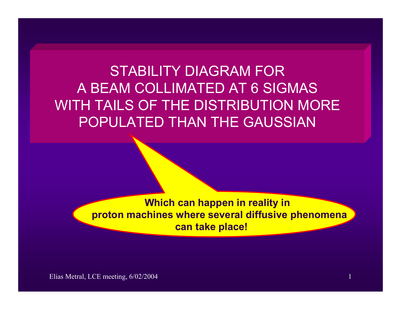POPULATED THAN THE GAUSSIAN STABILITY DIAGRAM FORA BEAM COLLIMATED AT 6 SIGMAS WITH TAILS OF THE DISTRIBUTION MORE

> **Which can happen in reality in proton machines where several diffusive phenomena can take place!**

Elias Metral, LCE meeting, 6/02/2004 1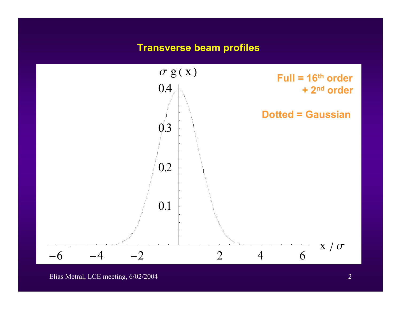### **Transverse beam profiles**



Elias Metral, LCE meeting, 6/02/2004 2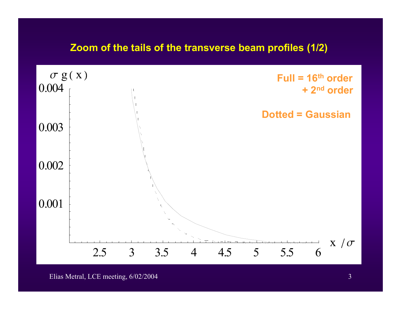# **Zoom of the tails of the transverse beam profiles (1/2)**



#### Elias Metral, LCE meeting, 6/02/2004 3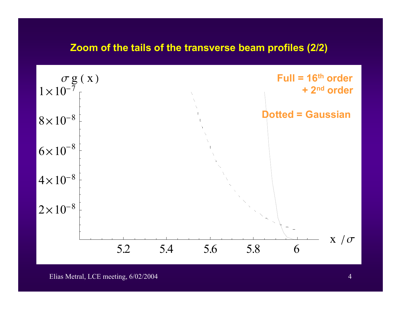## **Zoom of the tails of the transverse beam profiles (2/2)**



#### Elias Metral, LCE meeting, 6/02/2004 4 and the contract of the contract of the contract of the contract of the contract of the contract of the contract of the contract of the contract of the contract of the contract of the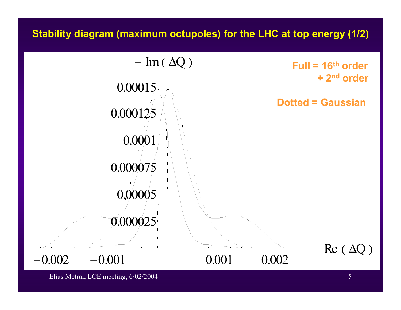# **Stability diagram (maximum octupoles) for the LHC at top energy (1/2)**



Elias Metral, LCE meeting, 6/02/2004 5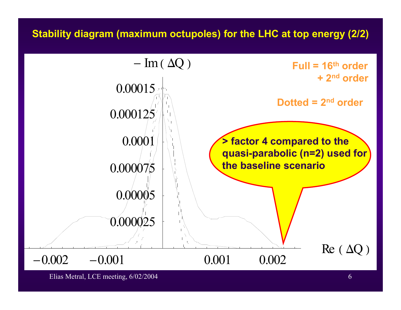# **Stability diagram (maximum octupoles) for the LHC at top energy (2/2)**



Elias Metral, LCE meeting, 6/02/2004 6